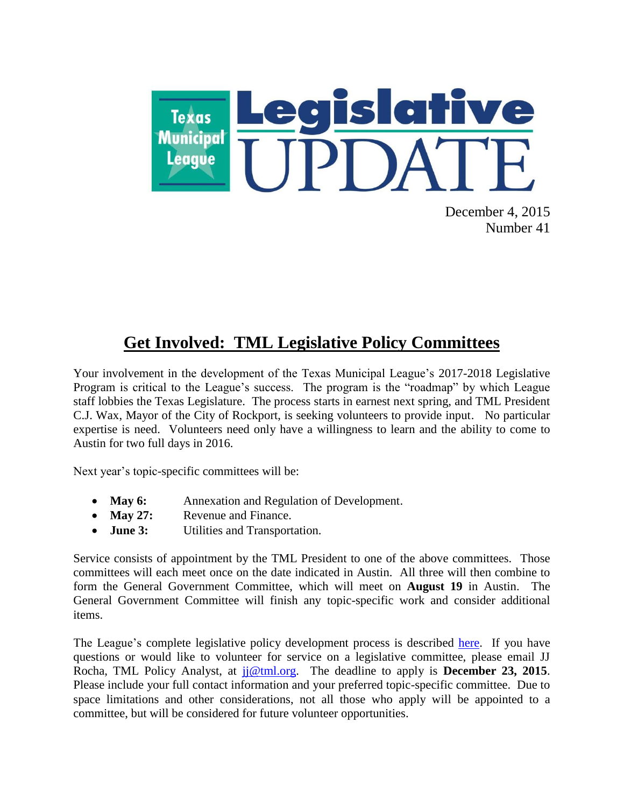

December 4, 2015 Number 41

# **Get Involved: TML Legislative Policy Committees**

Your involvement in the development of the Texas Municipal League's 2017-2018 Legislative Program is critical to the League's success. The program is the "roadmap" by which League staff lobbies the Texas Legislature. The process starts in earnest next spring, and TML President C.J. Wax, Mayor of the City of Rockport, is seeking volunteers to provide input. No particular expertise is need. Volunteers need only have a willingness to learn and the ability to come to Austin for two full days in 2016.

Next year's topic-specific committees will be:

- **May 6:** Annexation and Regulation of Development.
- May 27: Revenue and Finance.
- **June 3:** Utilities and Transportation.

Service consists of appointment by the TML President to one of the above committees. Those committees will each meet once on the date indicated in Austin. All three will then combine to form the General Government Committee, which will meet on **August 19** in Austin. The General Government Committee will finish any topic-specific work and consider additional items.

The League's complete legislative policy development process is described [here.](http://www.tml.org/p/2015_TML_Policy_Process.pdf) If you have questions or would like to volunteer for service on a legislative committee, please email JJ Rocha, TML Policy Analyst, at [jj@tml.org.](mailto:jj@tml.org) The deadline to apply is **December 23, 2015**. Please include your full contact information and your preferred topic-specific committee. Due to space limitations and other considerations, not all those who apply will be appointed to a committee, but will be considered for future volunteer opportunities.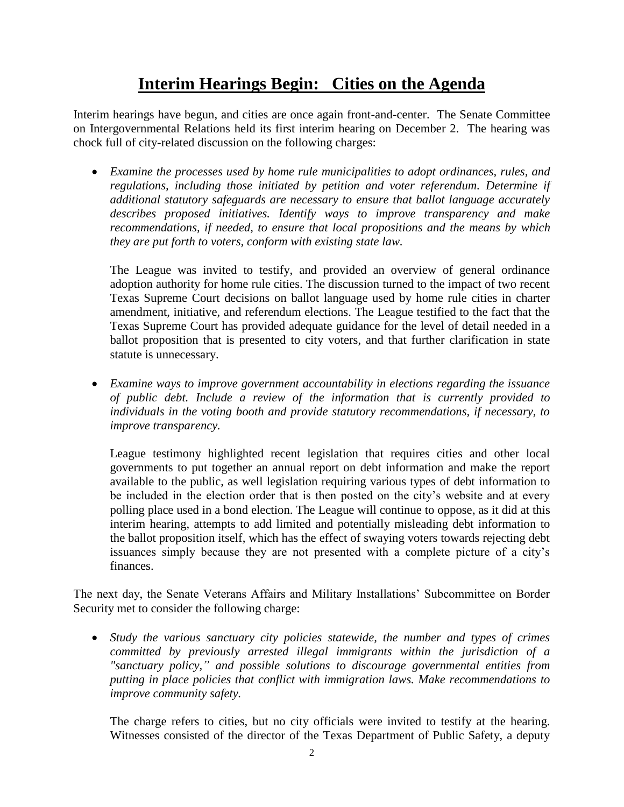## **Interim Hearings Begin: Cities on the Agenda**

Interim hearings have begun, and cities are once again front-and-center. The Senate Committee on Intergovernmental Relations held its first interim hearing on December 2. The hearing was chock full of city-related discussion on the following charges:

 *Examine the processes used by home rule municipalities to adopt ordinances, rules, and*  regulations, including those initiated by petition and voter referendum. Determine if *additional statutory safeguards are necessary to ensure that ballot language accurately describes proposed initiatives. Identify ways to improve transparency and make recommendations, if needed, to ensure that local propositions and the means by which they are put forth to voters, conform with existing state law.*

The League was invited to testify, and provided an overview of general ordinance adoption authority for home rule cities. The discussion turned to the impact of two recent Texas Supreme Court decisions on ballot language used by home rule cities in charter amendment, initiative, and referendum elections. The League testified to the fact that the Texas Supreme Court has provided adequate guidance for the level of detail needed in a ballot proposition that is presented to city voters, and that further clarification in state statute is unnecessary.

 *Examine ways to improve government accountability in elections regarding the issuance of public debt. Include a review of the information that is currently provided to individuals in the voting booth and provide statutory recommendations, if necessary, to improve transparency.* 

League testimony highlighted recent legislation that requires cities and other local governments to put together an annual report on debt information and make the report available to the public, as well legislation requiring various types of debt information to be included in the election order that is then posted on the city's website and at every polling place used in a bond election. The League will continue to oppose, as it did at this interim hearing, attempts to add limited and potentially misleading debt information to the ballot proposition itself, which has the effect of swaying voters towards rejecting debt issuances simply because they are not presented with a complete picture of a city's finances.

The next day, the Senate Veterans Affairs and Military Installations' Subcommittee on Border Security met to consider the following charge:

 *Study the various sanctuary city policies statewide, the number and types of crimes committed by previously arrested illegal immigrants within the jurisdiction of a "sanctuary policy," and possible solutions to discourage governmental entities from putting in place policies that conflict with immigration laws. Make recommendations to improve community safety.*

The charge refers to cities, but no city officials were invited to testify at the hearing. Witnesses consisted of the director of the Texas Department of Public Safety, a deputy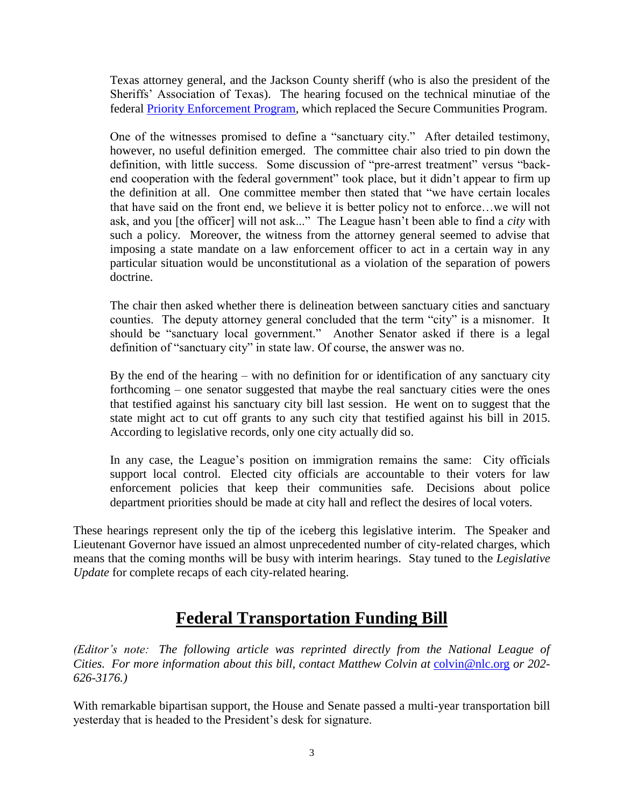Texas attorney general, and the Jackson County sheriff (who is also the president of the Sheriffs' Association of Texas). The hearing focused on the technical minutiae of the federal [Priority Enforcement Program,](https://www.ice.gov/pep) which replaced the Secure Communities Program.

One of the witnesses promised to define a "sanctuary city." After detailed testimony, however, no useful definition emerged. The committee chair also tried to pin down the definition, with little success. Some discussion of "pre-arrest treatment" versus "backend cooperation with the federal government" took place, but it didn't appear to firm up the definition at all. One committee member then stated that "we have certain locales that have said on the front end, we believe it is better policy not to enforce…we will not ask, and you [the officer] will not ask..." The League hasn't been able to find a *city* with such a policy. Moreover, the witness from the attorney general seemed to advise that imposing a state mandate on a law enforcement officer to act in a certain way in any particular situation would be unconstitutional as a violation of the separation of powers doctrine.

The chair then asked whether there is delineation between sanctuary cities and sanctuary counties. The deputy attorney general concluded that the term "city" is a misnomer. It should be "sanctuary local government." Another Senator asked if there is a legal definition of "sanctuary city" in state law. Of course, the answer was no.

By the end of the hearing – with no definition for or identification of any sanctuary city forthcoming – one senator suggested that maybe the real sanctuary cities were the ones that testified against his sanctuary city bill last session. He went on to suggest that the state might act to cut off grants to any such city that testified against his bill in 2015. According to legislative records, only one city actually did so.

In any case, the League's position on immigration remains the same: City officials support local control. Elected city officials are accountable to their voters for law enforcement policies that keep their communities safe. Decisions about police department priorities should be made at city hall and reflect the desires of local voters.

These hearings represent only the tip of the iceberg this legislative interim. The Speaker and Lieutenant Governor have issued an almost unprecedented number of city-related charges, which means that the coming months will be busy with interim hearings. Stay tuned to the *Legislative Update* for complete recaps of each city-related hearing.

## **Federal Transportation Funding Bill**

*(Editor's note: The following article was reprinted directly from the National League of Cities. For more information about this bill, contact Matthew Colvin at* [colvin@nlc.org](mailto:colvin@nlc.org) *or 202- 626-3176.)*

With remarkable bipartisan support, the House and Senate passed a multi-year transportation bill yesterday that is headed to the President's desk for signature.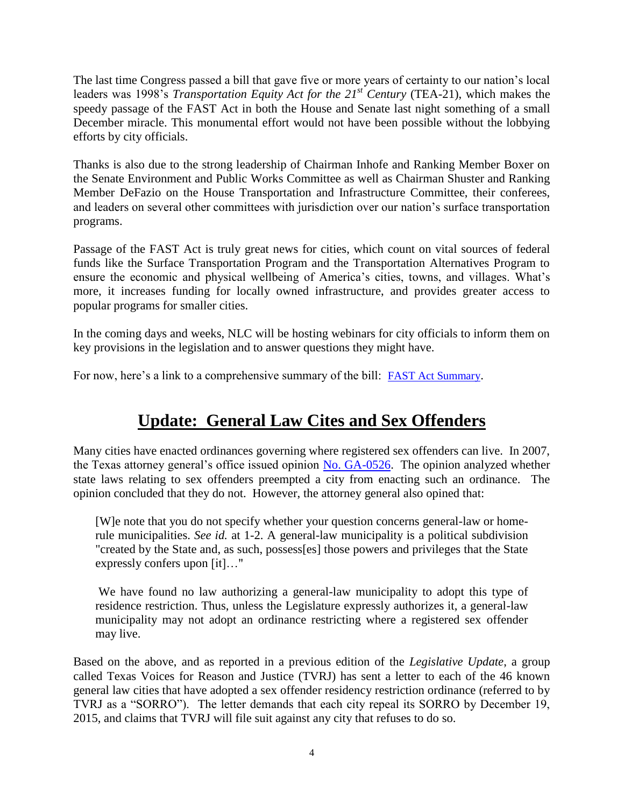The last time Congress passed a bill that gave five or more years of certainty to our nation's local leaders was 1998's *Transportation Equity Act for the 21<sup>st</sup> Century* (TEA-21), which makes the speedy passage of the FAST Act in both the House and Senate last night something of a small December miracle. This monumental effort would not have been possible without the lobbying efforts by city officials.

Thanks is also due to the strong leadership of Chairman Inhofe and Ranking Member Boxer on the Senate Environment and Public Works Committee as well as Chairman Shuster and Ranking Member DeFazio on the House Transportation and Infrastructure Committee, their conferees, and leaders on several other committees with jurisdiction over our nation's surface transportation programs.

Passage of the FAST Act is truly great news for cities, which count on vital sources of federal funds like the Surface Transportation Program and the Transportation Alternatives Program to ensure the economic and physical wellbeing of America's cities, towns, and villages. What's more, it increases funding for locally owned infrastructure, and provides greater access to popular programs for smaller cities.

In the coming days and weeks, NLC will be hosting webinars for city officials to inform them on key provisions in the legislation and to answer questions they might have.

For now, here's a link to a comprehensive summary of the bill: [FAST Act Summary](http://transportation.house.gov/uploadedfiles/highway_bill_conference.pdf).

## **Update: General Law Cites and Sex Offenders**

Many cities have enacted ordinances governing where registered sex offenders can live. In 2007, the Texas attorney general's office issued opinion [No. GA-0526.](https://www.texasattorneygeneral.gov/opinions/opinions/50abbott/op/2007/htm/ga-0526.htm) The opinion analyzed whether state laws relating to sex offenders preempted a city from enacting such an ordinance. The opinion concluded that they do not. However, the attorney general also opined that:

[W]e note that you do not specify whether your question concerns general-law or homerule municipalities. *See id.* at 1-2. A general-law municipality is a political subdivision "created by the State and, as such, possess[es] those powers and privileges that the State expressly confers upon [it]…"

We have found no law authorizing a general-law municipality to adopt this type of residence restriction. Thus, unless the Legislature expressly authorizes it, a general-law municipality may not adopt an ordinance restricting where a registered sex offender may live.

Based on the above, and as reported in a previous edition of the *Legislative Update*, a group called Texas Voices for Reason and Justice (TVRJ) has sent a letter to each of the 46 known general law cities that have adopted a sex offender residency restriction ordinance (referred to by TVRJ as a "SORRO"). The letter demands that each city repeal its SORRO by December 19, 2015, and claims that TVRJ will file suit against any city that refuses to do so.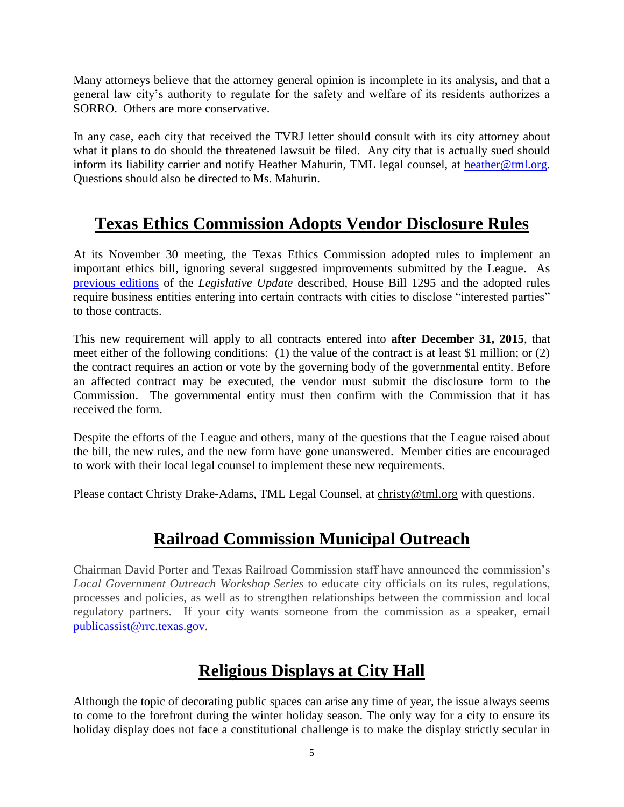Many attorneys believe that the attorney general opinion is incomplete in its analysis, and that a general law city's authority to regulate for the safety and welfare of its residents authorizes a SORRO. Others are more conservative.

In any case, each city that received the TVRJ letter should consult with its city attorney about what it plans to do should the threatened lawsuit be filed. Any city that is actually sued should inform its liability carrier and notify Heather Mahurin, TML legal counsel, at [heather@tml.org.](mailto:heather@tml.org) Questions should also be directed to Ms. Mahurin.

#### **Texas Ethics Commission Adopts Vendor Disclosure Rules**

At its November 30 meeting, the Texas Ethics Commission adopted rules to implement an important ethics bill, ignoring several suggested improvements submitted by the League. As [previous editions](http://www.tml.org/legis_updates/league-files-comments-on-texas-ethics-commission-vendor-disclosure-rules) of the *Legislative Update* described, House Bill 1295 and the adopted rules require business entities entering into certain contracts with cities to disclose "interested parties" to those contracts.

This new requirement will apply to all contracts entered into **after December 31, 2015**, that meet either of the following conditions: (1) the value of the contract is at least \$1 million; or (2) the contract requires an action or vote by the governing body of the governmental entity. Before an affected contract may be executed, the vendor must submit the disclosure [form](https://www.ethics.state.tx.us/forms/1295.pdf) to the Commission. The governmental entity must then confirm with the Commission that it has received the form.

Despite the efforts of the League and others, many of the questions that the League raised about the bill, the new rules, and the new form have gone unanswered. Member cities are encouraged to work with their local legal counsel to implement these new requirements.

Please contact Christy Drake-Adams, TML Legal Counsel, at [christy@tml.org](mailto:christy@tml.org) with questions.

#### **Railroad Commission Municipal Outreach**

Chairman David Porter and Texas Railroad Commission staff have announced the commission's *Local Government Outreach Workshop Series* to educate city officials on its rules, regulations, processes and policies, as well as to strengthen relationships between the commission and local regulatory partners. If your city wants someone from the commission as a speaker, email [publicassist@rrc.texas.gov.](mailto:publicassist@rrc.texas.gov)

## **Religious Displays at City Hall**

Although the topic of decorating public spaces can arise any time of year, the issue always seems to come to the forefront during the winter holiday season. The only way for a city to ensure its holiday display does not face a constitutional challenge is to make the display strictly secular in